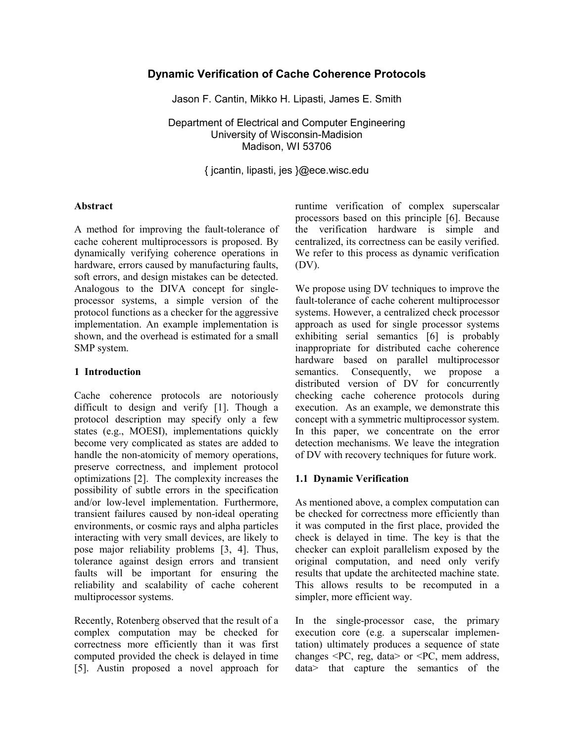# **Dynamic Verification of Cache Coherence Protocols**

Jason F. Cantin, Mikko H. Lipasti, James E. Smith

Department of Electrical and Computer Engineering University of Wisconsin-Madision Madison, WI 53706

{ jcantin, lipasti, jes }@ece.wisc.edu

#### **Abstract**

A method for improving the fault-tolerance of cache coherent multiprocessors is proposed. By dynamically verifying coherence operations in hardware, errors caused by manufacturing faults, soft errors, and design mistakes can be detected. Analogous to the DIVA concept for singleprocessor systems, a simple version of the protocol functions as a checker for the aggressive implementation. An example implementation is shown, and the overhead is estimated for a small SMP system.

#### **1 Introduction**

Cache coherence protocols are notoriously difficult to design and verify [1]. Though a protocol description may specify only a few states (e.g., MOESI), implementations quickly become very complicated as states are added to handle the non-atomicity of memory operations, preserve correctness, and implement protocol optimizations [2]. The complexity increases the possibility of subtle errors in the specification and/or low-level implementation. Furthermore, transient failures caused by non-ideal operating environments, or cosmic rays and alpha particles interacting with very small devices, are likely to pose major reliability problems [3, 4]. Thus, tolerance against design errors and transient faults will be important for ensuring the reliability and scalability of cache coherent multiprocessor systems.

Recently, Rotenberg observed that the result of a complex computation may be checked for correctness more efficiently than it was first computed provided the check is delayed in time [5]. Austin proposed a novel approach for runtime verification of complex superscalar processors based on this principle [6]. Because the verification hardware is simple and centralized, its correctness can be easily verified. We refer to this process as dynamic verification (DV).

We propose using DV techniques to improve the fault-tolerance of cache coherent multiprocessor systems. However, a centralized check processor approach as used for single processor systems exhibiting serial semantics [6] is probably inappropriate for distributed cache coherence hardware based on parallel multiprocessor semantics. Consequently, we propose a distributed version of DV for concurrently checking cache coherence protocols during execution. As an example, we demonstrate this concept with a symmetric multiprocessor system. In this paper, we concentrate on the error detection mechanisms. We leave the integration of DV with recovery techniques for future work.

### **1.1 Dynamic Verification**

As mentioned above, a complex computation can be checked for correctness more efficiently than it was computed in the first place, provided the check is delayed in time. The key is that the checker can exploit parallelism exposed by the original computation, and need only verify results that update the architected machine state. This allows results to be recomputed in a simpler, more efficient way.

In the single-processor case, the primary execution core (e.g. a superscalar implementation) ultimately produces a sequence of state changes <PC, reg, data> or <PC, mem address, data> that capture the semantics of the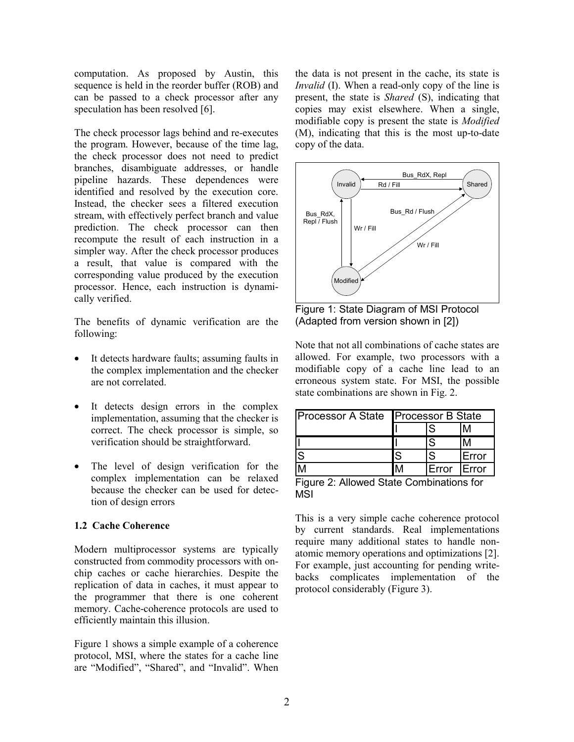computation. As proposed by Austin, this sequence is held in the reorder buffer (ROB) and can be passed to a check processor after any speculation has been resolved [6].

The check processor lags behind and re-executes the program. However, because of the time lag, the check processor does not need to predict branches, disambiguate addresses, or handle pipeline hazards. These dependences were identified and resolved by the execution core. Instead, the checker sees a filtered execution stream, with effectively perfect branch and value prediction. The check processor can then recompute the result of each instruction in a simpler way. After the check processor produces a result, that value is compared with the corresponding value produced by the execution processor. Hence, each instruction is dynamically verified.

The benefits of dynamic verification are the following:

- It detects hardware faults; assuming faults in the complex implementation and the checker are not correlated.
- It detects design errors in the complex implementation, assuming that the checker is correct. The check processor is simple, so verification should be straightforward.
- The level of design verification for the complex implementation can be relaxed because the checker can be used for detection of design errors

### **1.2 Cache Coherence**

Modern multiprocessor systems are typically constructed from commodity processors with onchip caches or cache hierarchies. Despite the replication of data in caches, it must appear to the programmer that there is one coherent memory. Cache-coherence protocols are used to efficiently maintain this illusion.

Figure 1 shows a simple example of a coherence protocol, MSI, where the states for a cache line are "Modified", "Shared", and "Invalid". When the data is not present in the cache, its state is *Invalid* (I). When a read-only copy of the line is present, the state is *Shared* (S), indicating that copies may exist elsewhere. When a single, modifiable copy is present the state is *Modified* (M), indicating that this is the most up-to-date copy of the data.



Figure 1: State Diagram of MSI Protocol (Adapted from version shown in [2])

Note that not all combinations of cache states are allowed. For example, two processors with a modifiable copy of a cache line lead to an erroneous system state. For MSI, the possible state combinations are shown in Fig. 2.

| <b>Processor A State Processor B State</b> |   |       |               |  |
|--------------------------------------------|---|-------|---------------|--|
|                                            |   | S.    |               |  |
|                                            |   | S     |               |  |
| lS                                         | S | S     | <b>Error</b>  |  |
|                                            |   | Error | <b>IError</b> |  |

Figure 2: Allowed State Combinations for MSI

This is a very simple cache coherence protocol by current standards. Real implementations require many additional states to handle nonatomic memory operations and optimizations [2]. For example, just accounting for pending writebacks complicates implementation of the protocol considerably (Figure 3).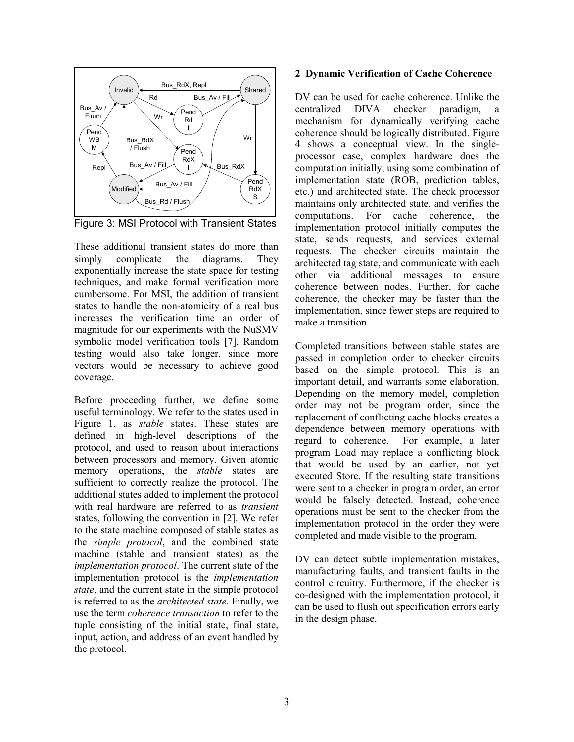

Figure 3: MSI Protocol with Transient States

These additional transient states do more than simply complicate the diagrams. They exponentially increase the state space for testing techniques, and make formal verification more cumbersome. For MSI, the addition of transient states to handle the non-atomicity of a real bus increases the verification time an order of magnitude for our experiments with the NuSMV symbolic model verification tools [7]. Random testing would also take longer, since more vectors would be necessary to achieve good coverage.

Before proceeding further, we define some useful terminology. We refer to the states used in Figure 1, as *stable* states. These states are defined in high-level descriptions of the protocol, and used to reason about interactions between processors and memory. Given atomic memory operations, the *stable* states are sufficient to correctly realize the protocol. The additional states added to implement the protocol with real hardware are referred to as *transient* states, following the convention in [2]. We refer to the state machine composed of stable states as the *simple protocol*, and the combined state machine (stable and transient states) as the *implementation protocol*. The current state of the implementation protocol is the *implementation state*, and the current state in the simple protocol is referred to as the *architected state*. Finally, we use the term *coherence transaction* to refer to the tuple consisting of the initial state, final state, input, action, and address of an event handled by the protocol.

#### **2 Dynamic Verification of Cache Coherence**

DV can be used for cache coherence. Unlike the centralized DIVA checker paradigm, mechanism for dynamically verifying cache coherence should be logically distributed. Figure 4 shows a conceptual view. In the singleprocessor case, complex hardware does the computation initially, using some combination of implementation state (ROB, prediction tables, etc.) and architected state. The check processor maintains only architected state, and verifies the computations. For cache coherence, the implementation protocol initially computes the state, sends requests, and services external requests. The checker circuits maintain the architected tag state, and communicate with each other via additional messages to ensure coherence between nodes. Further, for cache coherence, the checker may be faster than the implementation, since fewer steps are required to make a transition.

Completed transitions between stable states are passed in completion order to checker circuits based on the simple protocol. This is an important detail, and warrants some elaboration. Depending on the memory model, completion order may not be program order, since the replacement of conflicting cache blocks creates a dependence between memory operations with regard to coherence. For example, a later program Load may replace a conflicting block that would be used by an earlier, not yet executed Store. If the resulting state transitions were sent to a checker in program order, an error would be falsely detected. Instead, coherence operations must be sent to the checker from the implementation protocol in the order they were completed and made visible to the program.

DV can detect subtle implementation mistakes, manufacturing faults, and transient faults in the control circuitry. Furthermore, if the checker is co-designed with the implementation protocol, it can be used to flush out specification errors early in the design phase.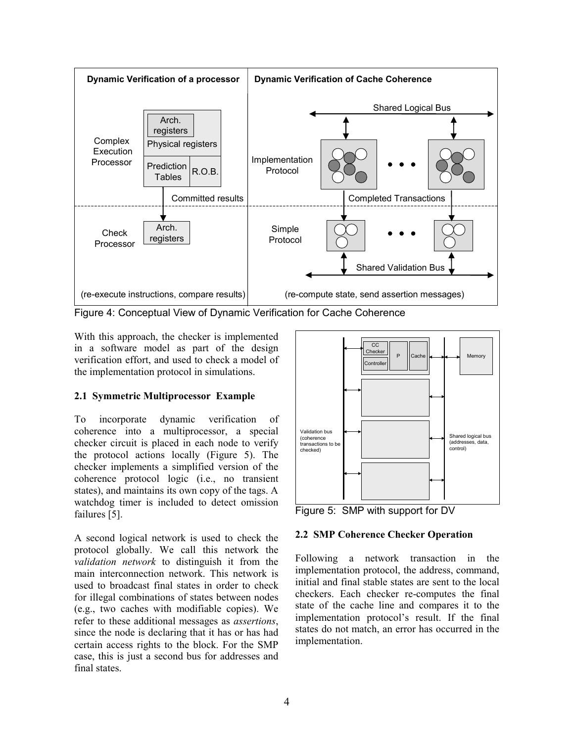

Figure 4: Conceptual View of Dynamic Verification for Cache Coherence

With this approach, the checker is implemented in a software model as part of the design verification effort, and used to check a model of the implementation protocol in simulations.

# **2.1 Symmetric Multiprocessor Example**

To incorporate dynamic verification of coherence into a multiprocessor, a special checker circuit is placed in each node to verify the protocol actions locally (Figure 5). The checker implements a simplified version of the coherence protocol logic (i.e., no transient states), and maintains its own copy of the tags. A watchdog timer is included to detect omission failures [5].

A second logical network is used to check the protocol globally. We call this network the *validation network* to distinguish it from the main interconnection network. This network is used to broadcast final states in order to check for illegal combinations of states between nodes (e.g., two caches with modifiable copies). We refer to these additional messages as *assertions*, since the node is declaring that it has or has had certain access rights to the block. For the SMP case, this is just a second bus for addresses and final states.



Figure 5: SMP with support for DV

### **2.2 SMP Coherence Checker Operation**

Following a network transaction in the implementation protocol, the address, command, initial and final stable states are sent to the local checkers. Each checker re-computes the final state of the cache line and compares it to the implementation protocol's result. If the final states do not match, an error has occurred in the implementation.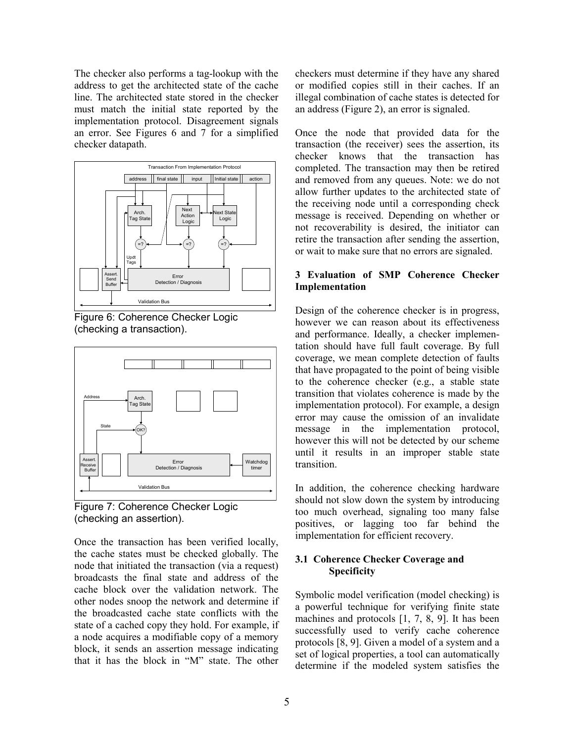The checker also performs a tag-lookup with the address to get the architected state of the cache line. The architected state stored in the checker must match the initial state reported by the implementation protocol. Disagreement signals an error. See Figures 6 and 7 for a simplified checker datapath.









Once the transaction has been verified locally, the cache states must be checked globally. The node that initiated the transaction (via a request) broadcasts the final state and address of the cache block over the validation network. The other nodes snoop the network and determine if the broadcasted cache state conflicts with the state of a cached copy they hold. For example, if a node acquires a modifiable copy of a memory block, it sends an assertion message indicating that it has the block in "M" state. The other

checkers must determine if they have any shared or modified copies still in their caches. If an illegal combination of cache states is detected for an address (Figure 2), an error is signaled.

Once the node that provided data for the transaction (the receiver) sees the assertion, its checker knows that the transaction has completed. The transaction may then be retired and removed from any queues. Note: we do not allow further updates to the architected state of the receiving node until a corresponding check message is received. Depending on whether or not recoverability is desired, the initiator can retire the transaction after sending the assertion, or wait to make sure that no errors are signaled.

### **3 Evaluation of SMP Coherence Checker Implementation**

Design of the coherence checker is in progress, however we can reason about its effectiveness and performance. Ideally, a checker implementation should have full fault coverage. By full coverage, we mean complete detection of faults that have propagated to the point of being visible to the coherence checker (e.g., a stable state transition that violates coherence is made by the implementation protocol). For example, a design error may cause the omission of an invalidate message in the implementation protocol, however this will not be detected by our scheme until it results in an improper stable state transition.

In addition, the coherence checking hardware should not slow down the system by introducing too much overhead, signaling too many false positives, or lagging too far behind the implementation for efficient recovery.

### **3.1 Coherence Checker Coverage and Specificity**

Symbolic model verification (model checking) is a powerful technique for verifying finite state machines and protocols [1, 7, 8, 9]. It has been successfully used to verify cache coherence protocols [8, 9]. Given a model of a system and a set of logical properties, a tool can automatically determine if the modeled system satisfies the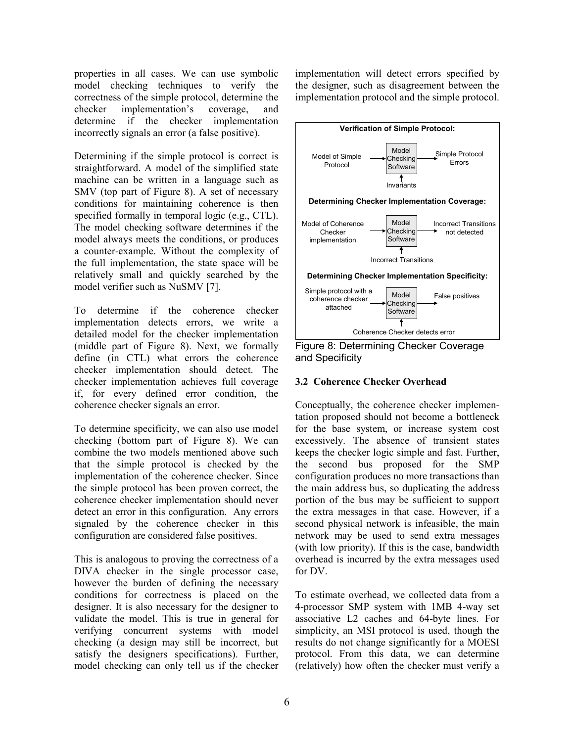properties in all cases. We can use symbolic model checking techniques to verify the correctness of the simple protocol, determine the checker implementation's coverage, and determine if the checker implementation incorrectly signals an error (a false positive).

Determining if the simple protocol is correct is straightforward. A model of the simplified state machine can be written in a language such as SMV (top part of Figure 8). A set of necessary conditions for maintaining coherence is then specified formally in temporal logic (e.g., CTL). The model checking software determines if the model always meets the conditions, or produces a counter-example. Without the complexity of the full implementation, the state space will be relatively small and quickly searched by the model verifier such as NuSMV [7].

To determine if the coherence checker implementation detects errors, we write a detailed model for the checker implementation (middle part of Figure 8). Next, we formally define (in CTL) what errors the coherence checker implementation should detect. The checker implementation achieves full coverage if, for every defined error condition, the coherence checker signals an error.

To determine specificity, we can also use model checking (bottom part of Figure 8). We can combine the two models mentioned above such that the simple protocol is checked by the implementation of the coherence checker. Since the simple protocol has been proven correct, the coherence checker implementation should never detect an error in this configuration. Any errors signaled by the coherence checker in this configuration are considered false positives.

This is analogous to proving the correctness of a DIVA checker in the single processor case, however the burden of defining the necessary conditions for correctness is placed on the designer. It is also necessary for the designer to validate the model. This is true in general for verifying concurrent systems with model checking (a design may still be incorrect, but satisfy the designers specifications). Further, model checking can only tell us if the checker implementation will detect errors specified by the designer, such as disagreement between the implementation protocol and the simple protocol.



Figure 8: Determining Checker Coverage and Specificity

# **3.2 Coherence Checker Overhead**

Conceptually, the coherence checker implementation proposed should not become a bottleneck for the base system, or increase system cost excessively. The absence of transient states keeps the checker logic simple and fast. Further, the second bus proposed for the SMP configuration produces no more transactions than the main address bus, so duplicating the address portion of the bus may be sufficient to support the extra messages in that case. However, if a second physical network is infeasible, the main network may be used to send extra messages (with low priority). If this is the case, bandwidth overhead is incurred by the extra messages used for DV.

To estimate overhead, we collected data from a 4-processor SMP system with 1MB 4-way set associative L2 caches and 64-byte lines. For simplicity, an MSI protocol is used, though the results do not change significantly for a MOESI protocol. From this data, we can determine (relatively) how often the checker must verify a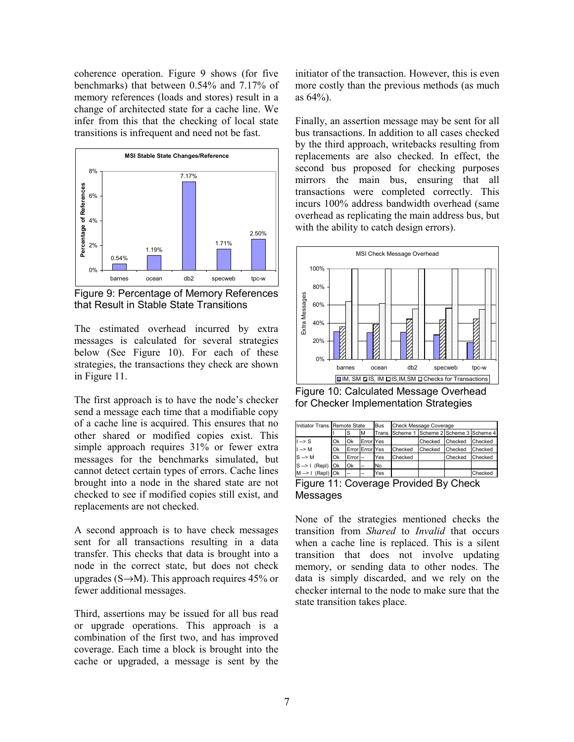coherence operation. Figure 9 shows (for five benchmarks) that between 0.54% and 7.17% of memory references (loads and stores) result in a change of architected state for a cache line. We infer from this that the checking of local state transitions is infrequent and need not be fast.



Figure 9: Percentage of Memory References that Result in Stable State Transitions

The estimated overhead incurred by extra messages is calculated for several strategies below (See Figure 10). For each of these strategies, the transactions they check are shown in Figure 11.

The first approach is to have the node's checker send a message each time that a modifiable copy of a cache line is acquired. This ensures that no other shared or modified copies exist. This simple approach requires 31% or fewer extra messages for the benchmarks simulated, but cannot detect certain types of errors. Cache lines brought into a node in the shared state are not checked to see if modified copies still exist, and replacements are not checked.

A second approach is to have check messages sent for all transactions resulting in a data transfer. This checks that data is brought into a node in the correct state, but does not check upgrades  $(S\rightarrow M)$ . This approach requires 45% or fewer additional messages.

Third, assertions may be issued for all bus read or upgrade operations. This approach is a combination of the first two, and has improved coverage. Each time a block is brought into the cache or upgraded, a message is sent by the

initiator of the transaction. However, this is even more costly than the previous methods (as much as 64%).

Finally, an assertion message may be sent for all bus transactions. In addition to all cases checked by the third approach, writebacks resulting from replacements are also checked. In effect, the second bus proposed for checking purposes mirrors the main bus, ensuring that all transactions were completed correctly. This incurs 100% address bandwidth overhead (same overhead as replicating the main address bus, but with the ability to catch design errors).



Figure 10: Calculated Message Overhead for Checker Implementation Strategies

| Initiator Trans. Remote State         |    |                    |                          | Bus | Check Message Coverage                     |         |         |         |  |  |
|---------------------------------------|----|--------------------|--------------------------|-----|--------------------------------------------|---------|---------|---------|--|--|
|                                       |    | S                  | IΜ                       |     | Trans. Scheme 1 Scheme 2 Scheme 3 Scheme 4 |         |         |         |  |  |
| $1 - S$                               | Ok | Ok                 | <b>Error</b> Yes         |     |                                            | Checked | Checked | Checked |  |  |
| $\left  \right $ --> M                | Ok |                    | Error Error Yes          |     | Checked                                    | Checked | Checked | Checked |  |  |
| $S \rightarrow M$                     | Ok | Error <sup>-</sup> |                          | Yes | Checked                                    |         | Checked | Checked |  |  |
| $S \rightarrow I$ (Repl) Ok           |    | Ok                 | ı                        | No  |                                            |         |         |         |  |  |
| $M \rightarrow 1$ (Repl) Ok           |    |                    | $\overline{\phantom{a}}$ | Yes |                                            |         |         | Checked |  |  |
| Figuro 11: Coverage Provided By Check |    |                    |                          |     |                                            |         |         |         |  |  |

Figure 11: Coverage Provided By Check Messages

None of the strategies mentioned checks the transition from *Shared* to *Invalid* that occurs when a cache line is replaced. This is a silent transition that does not involve updating memory, or sending data to other nodes. The data is simply discarded, and we rely on the checker internal to the node to make sure that the state transition takes place.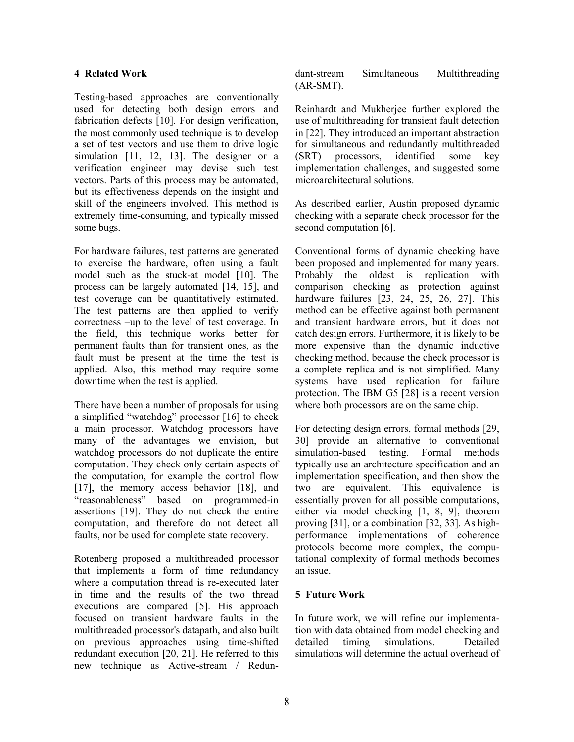### **4 Related Work**

Testing-based approaches are conventionally used for detecting both design errors and fabrication defects [10]. For design verification, the most commonly used technique is to develop a set of test vectors and use them to drive logic simulation [11, 12, 13]. The designer or a verification engineer may devise such test vectors. Parts of this process may be automated, but its effectiveness depends on the insight and skill of the engineers involved. This method is extremely time-consuming, and typically missed some bugs.

For hardware failures, test patterns are generated to exercise the hardware, often using a fault model such as the stuck-at model [10]. The process can be largely automated [14, 15], and test coverage can be quantitatively estimated. The test patterns are then applied to verify correctness –up to the level of test coverage. In the field, this technique works better for permanent faults than for transient ones, as the fault must be present at the time the test is applied. Also, this method may require some downtime when the test is applied.

There have been a number of proposals for using a simplified "watchdog" processor [16] to check a main processor. Watchdog processors have many of the advantages we envision, but watchdog processors do not duplicate the entire computation. They check only certain aspects of the computation, for example the control flow [17], the memory access behavior [18], and "reasonableness" based on programmed-in assertions [19]. They do not check the entire computation, and therefore do not detect all faults, nor be used for complete state recovery.

Rotenberg proposed a multithreaded processor that implements a form of time redundancy where a computation thread is re-executed later in time and the results of the two thread executions are compared [5]. His approach focused on transient hardware faults in the multithreaded processor's datapath, and also built on previous approaches using time-shifted redundant execution [20, 21]. He referred to this new technique as Active-stream / Redundant-stream Simultaneous Multithreading (AR-SMT).

Reinhardt and Mukherjee further explored the use of multithreading for transient fault detection in [22]. They introduced an important abstraction for simultaneous and redundantly multithreaded (SRT) processors, identified some key implementation challenges, and suggested some microarchitectural solutions.

As described earlier, Austin proposed dynamic checking with a separate check processor for the second computation [6].

Conventional forms of dynamic checking have been proposed and implemented for many years. Probably the oldest is replication with comparison checking as protection against hardware failures [23, 24, 25, 26, 27]. This method can be effective against both permanent and transient hardware errors, but it does not catch design errors. Furthermore, it is likely to be more expensive than the dynamic inductive checking method, because the check processor is a complete replica and is not simplified. Many systems have used replication for failure protection. The IBM G5 [28] is a recent version where both processors are on the same chip.

For detecting design errors, formal methods [29, 30] provide an alternative to conventional simulation-based testing. Formal methods typically use an architecture specification and an implementation specification, and then show the two are equivalent. This equivalence is essentially proven for all possible computations, either via model checking [1, 8, 9], theorem proving [31], or a combination [32, 33]. As highperformance implementations of coherence protocols become more complex, the computational complexity of formal methods becomes an issue.

### **5 Future Work**

In future work, we will refine our implementation with data obtained from model checking and detailed timing simulations. Detailed simulations will determine the actual overhead of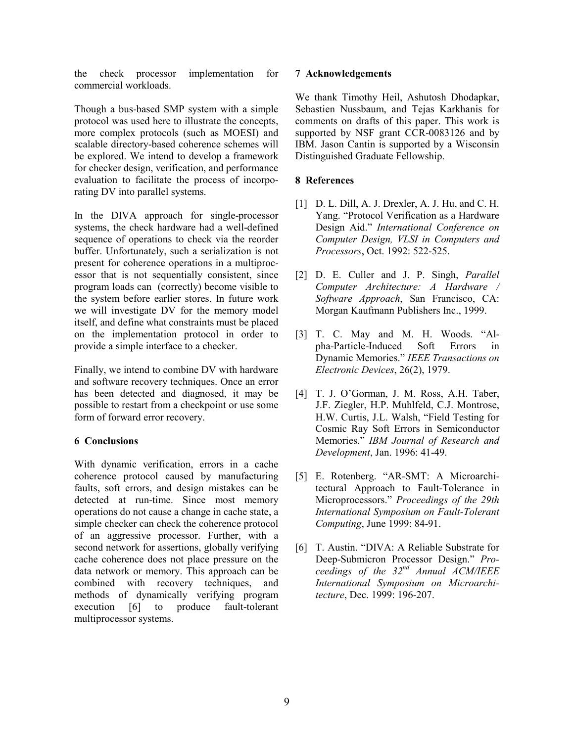the check processor implementation for commercial workloads.

Though a bus-based SMP system with a simple protocol was used here to illustrate the concepts, more complex protocols (such as MOESI) and scalable directory-based coherence schemes will be explored. We intend to develop a framework for checker design, verification, and performance evaluation to facilitate the process of incorporating DV into parallel systems.

In the DIVA approach for single-processor systems, the check hardware had a well-defined sequence of operations to check via the reorder buffer. Unfortunately, such a serialization is not present for coherence operations in a multiprocessor that is not sequentially consistent, since program loads can (correctly) become visible to the system before earlier stores. In future work we will investigate DV for the memory model itself, and define what constraints must be placed on the implementation protocol in order to provide a simple interface to a checker.

Finally, we intend to combine DV with hardware and software recovery techniques. Once an error has been detected and diagnosed, it may be possible to restart from a checkpoint or use some form of forward error recovery.

# **6 Conclusions**

With dynamic verification, errors in a cache coherence protocol caused by manufacturing faults, soft errors, and design mistakes can be detected at run-time. Since most memory operations do not cause a change in cache state, a simple checker can check the coherence protocol of an aggressive processor. Further, with a second network for assertions, globally verifying cache coherence does not place pressure on the data network or memory. This approach can be combined with recovery techniques, and methods of dynamically verifying program execution [6] to produce fault-tolerant multiprocessor systems.

### **7 Acknowledgements**

We thank Timothy Heil, Ashutosh Dhodapkar, Sebastien Nussbaum, and Tejas Karkhanis for comments on drafts of this paper. This work is supported by NSF grant CCR-0083126 and by IBM. Jason Cantin is supported by a Wisconsin Distinguished Graduate Fellowship.

# **8 References**

- [1] D. L. Dill, A. J. Drexler, A. J. Hu, and C. H. Yang. "Protocol Verification as a Hardware Design Aid." *International Conference on Computer Design, VLSI in Computers and Processors*, Oct. 1992: 522-525.
- [2] D. E. Culler and J. P. Singh, *Parallel Computer Architecture: A Hardware / Software Approach*, San Francisco, CA: Morgan Kaufmann Publishers Inc., 1999.
- [3] T. C. May and M. H. Woods. "Alpha-Particle-Induced Soft Errors in Dynamic Memories." *IEEE Transactions on Electronic Devices*, 26(2), 1979.
- [4] T. J. O'Gorman, J. M. Ross, A.H. Taber, J.F. Ziegler, H.P. Muhlfeld, C.J. Montrose, H.W. Curtis, J.L. Walsh, "Field Testing for Cosmic Ray Soft Errors in Semiconductor Memories." *IBM Journal of Research and Development*, Jan. 1996: 41-49.
- [5] E. Rotenberg. "AR-SMT: A Microarchitectural Approach to Fault-Tolerance in Microprocessors." *Proceedings of the 29th International Symposium on Fault-Tolerant Computing*, June 1999: 84-91.
- [6] T. Austin. "DIVA: A Reliable Substrate for Deep-Submicron Processor Design." *Proceedings of the 32nd Annual ACM/IEEE International Symposium on Microarchitecture*, Dec. 1999: 196-207.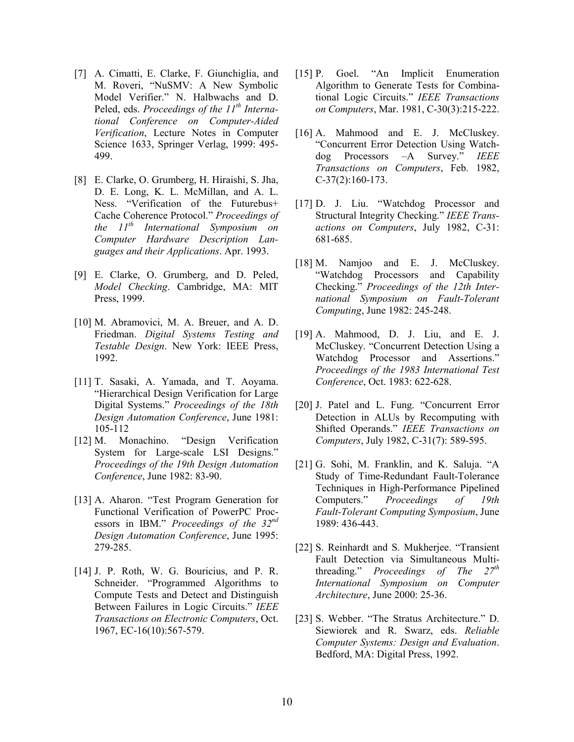- [7] A. Cimatti, E. Clarke, F. Giunchiglia, and M. Roveri, "NuSMV: A New Symbolic Model Verifier." N. Halbwachs and D. Peled, eds. *Proceedings of the 11th International Conference on Computer-Aided Verification*, Lecture Notes in Computer Science 1633, Springer Verlag, 1999: 495- 499.
- [8] E. Clarke, O. Grumberg, H. Hiraishi, S. Jha, D. E. Long, K. L. McMillan, and A. L. Ness. "Verification of the Futurebus+ Cache Coherence Protocol." *Proceedings of the 11th International Symposium on Computer Hardware Description Languages and their Applications*. Apr. 1993.
- [9] E. Clarke, O. Grumberg, and D. Peled, *Model Checking*. Cambridge, MA: MIT Press, 1999.
- [10] M. Abramovici, M. A. Breuer, and A. D. Friedman. *Digital Systems Testing and Testable Design*. New York: IEEE Press, 1992.
- [11] T. Sasaki, A. Yamada, and T. Aoyama. "Hierarchical Design Verification for Large Digital Systems." *Proceedings of the 18th Design Automation Conference*, June 1981: 105-112
- [12] M. Monachino. "Design Verification System for Large-scale LSI Designs." *Proceedings of the 19th Design Automation Conference*, June 1982: 83-90.
- [13] A. Aharon. "Test Program Generation for Functional Verification of PowerPC Processors in IBM." *Proceedings of the 32nd Design Automation Conference*, June 1995: 279-285.
- [14] J. P. Roth, W. G. Bouricius, and P. R. Schneider. "Programmed Algorithms to Compute Tests and Detect and Distinguish Between Failures in Logic Circuits." *IEEE Transactions on Electronic Computers*, Oct. 1967, EC-16(10):567-579.
- [15] P. Goel. "An Implicit Enumeration Algorithm to Generate Tests for Combinational Logic Circuits." *IEEE Transactions on Computers*, Mar. 1981, C-30(3):215-222.
- [16] A. Mahmood and E. J. McCluskey. "Concurrent Error Detection Using Watchdog Processors –A Survey." *IEEE Transactions on Computers*, Feb. 1982, C-37(2):160-173.
- [17] D. J. Liu. "Watchdog Processor and Structural Integrity Checking." *IEEE Transactions on Computers*, July 1982, C-31: 681-685.
- [18] M. Namjoo and E. J. McCluskey. "Watchdog Processors and Capability Checking." *Proceedings of the 12th International Symposium on Fault-Tolerant Computing*, June 1982: 245-248.
- [19] A. Mahmood, D. J. Liu, and E. J. McCluskey. "Concurrent Detection Using a Watchdog Processor and Assertions." *Proceedings of the 1983 International Test Conference*, Oct. 1983: 622-628.
- [20] J. Patel and L. Fung. "Concurrent Error Detection in ALUs by Recomputing with Shifted Operands." *IEEE Transactions on Computers*, July 1982, C-31(7): 589-595.
- [21] G. Sohi, M. Franklin, and K. Saluja. "A Study of Time-Redundant Fault-Tolerance Techniques in High-Performance Pipelined Computers." *Proceedings of 19th Fault-Tolerant Computing Symposium*, June 1989: 436-443.
- [22] S. Reinhardt and S. Mukherjee. "Transient Fault Detection via Simultaneous Multithreading." *Proceedings of The 27th International Symposium on Computer Architecture*, June 2000: 25-36.
- [23] S. Webber. "The Stratus Architecture." D. Siewiorek and R. Swarz, eds. *Reliable Computer Systems: Design and Evaluation*. Bedford, MA: Digital Press, 1992.